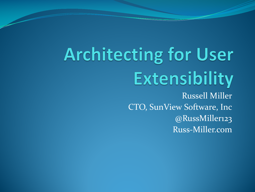# **Architecting for User** Extensibility

Russell Miller CTO, SunView Software, Inc @RussMiller123 Russ-Miller.com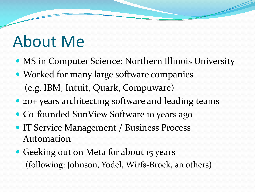### About Me

- MS in Computer Science: Northern Illinois University
- Worked for many large software companies (e.g. IBM, Intuit, Quark, Compuware)
- 20+ years architecting software and leading teams
- Co-founded SunView Software 10 years ago
- **IT Service Management / Business Process** Automation
- Geeking out on Meta for about 15 years (following: Johnson, Yodel, Wirfs-Brock, an others)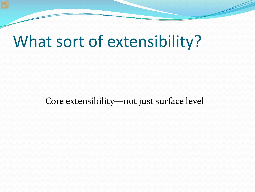#### What sort of extensibility?

#### Core extensibility—not just surface level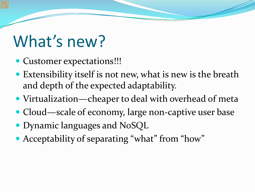#### What's new?

- Customer expectations!!!
- Extensibility itself is not new, what is new is the breath and depth of the expected adaptability.
- Virtualization—cheaper to deal with overhead of meta
- Cloud—scale of economy, large non-captive user base
- Dynamic languages and NoSQL
- Acceptability of separating "what" from "how"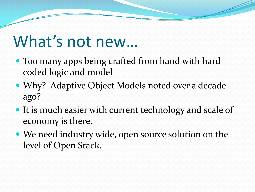### What's not new…

- Too many apps being crafted from hand with hard coded logic and model
- Why? Adaptive Object Models noted over a decade ago?
- It is much easier with current technology and scale of economy is there.
- We need industry wide, open source solution on the level of Open Stack.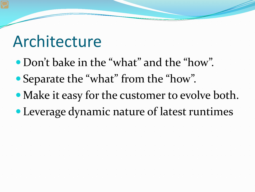#### Architecture

- Don't bake in the "what" and the "how".
- Separate the "what" from the "how".
- Make it easy for the customer to evolve both.
- Leverage dynamic nature of latest runtimes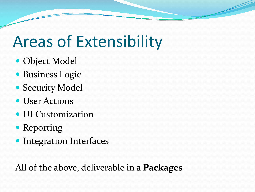# Areas of Extensibility

- Object Model
- **Business Logic**
- Security Model
- User Actions
- UI Customization
- Reporting
- **Integration Interfaces**

All of the above, deliverable in a **Packages**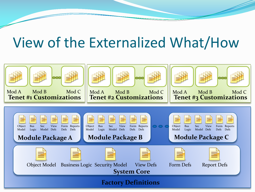#### View of the Externalized What/How

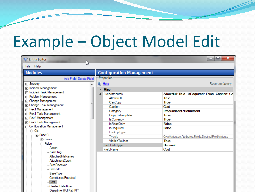# Example – Object Model Edit

| <b>C</b> Entity Editor                          |                                 | $\mathbf{x}$<br>o<br>--                                |  |  |  |  |  |  |  |  |  |  |
|-------------------------------------------------|---------------------------------|--------------------------------------------------------|--|--|--|--|--|--|--|--|--|--|
| File Help                                       |                                 |                                                        |  |  |  |  |  |  |  |  |  |  |
| <b>Modules</b>                                  | <b>Configuration Management</b> |                                                        |  |  |  |  |  |  |  |  |  |  |
| <b>Add Field Delete Field</b>                   | Properties                      |                                                        |  |  |  |  |  |  |  |  |  |  |
| F Security                                      | <b>R</b> Help                   | Revert to factory                                      |  |  |  |  |  |  |  |  |  |  |
| in Incident Management                          | <b>Misc</b><br>$\overline{a}$   |                                                        |  |  |  |  |  |  |  |  |  |  |
| in Incident Task Management                     | <b>A</b> FieldAttributes        | AllowNull: True, IsRequired: False, Caption: Co        |  |  |  |  |  |  |  |  |  |  |
| <b>Fi</b> -Problem Management                   | AllowNull                       | <b>True</b>                                            |  |  |  |  |  |  |  |  |  |  |
| <b>E</b> Change Management                      | CanCopy                         | <b>True</b>                                            |  |  |  |  |  |  |  |  |  |  |
| <b>E</b> Change Task Management                 | Caption                         | Cost                                                   |  |  |  |  |  |  |  |  |  |  |
| F Flex1 Management                              | Category                        | <b>Procurement/Retirement</b>                          |  |  |  |  |  |  |  |  |  |  |
| <b>Fi</b> Flex1 Task Management                 | CopyToTemplate                  | <b>True</b>                                            |  |  |  |  |  |  |  |  |  |  |
| F Flex2 Management                              | <b>IsCurrency</b>               | <b>True</b>                                            |  |  |  |  |  |  |  |  |  |  |
| <b>Fi</b> Flex2 Task Management                 | IsReadOnly                      | <b>False</b>                                           |  |  |  |  |  |  |  |  |  |  |
| <b>c</b> Configuration Management<br>$\Box$ Cls | <b>IsRequired</b>               | <b>False</b>                                           |  |  |  |  |  |  |  |  |  |  |
| 白 Base Cl                                       | LookupType                      |                                                        |  |  |  |  |  |  |  |  |  |  |
| <b>En Forms</b>                                 | Typeld                          | OryxAttributes.Attributes.Fields.DecimalFieldAttribute |  |  |  |  |  |  |  |  |  |  |
| $\Box$ Fields                                   | VisibleToUser                   | <b>True</b>                                            |  |  |  |  |  |  |  |  |  |  |
| - Action                                        | FieldDataType                   | <b>Decimal</b>                                         |  |  |  |  |  |  |  |  |  |  |
| Asset Tag                                       | FieldName                       | Cost                                                   |  |  |  |  |  |  |  |  |  |  |
| <b>AttachedFileNames</b>                        |                                 |                                                        |  |  |  |  |  |  |  |  |  |  |
| AttachmentCount                                 |                                 |                                                        |  |  |  |  |  |  |  |  |  |  |
| AutoDiscover                                    |                                 |                                                        |  |  |  |  |  |  |  |  |  |  |
| <b>BarCode</b>                                  |                                 |                                                        |  |  |  |  |  |  |  |  |  |  |
| <b>BaseType</b>                                 |                                 |                                                        |  |  |  |  |  |  |  |  |  |  |
| ComplianceRequired                              |                                 |                                                        |  |  |  |  |  |  |  |  |  |  |
| Cost                                            |                                 |                                                        |  |  |  |  |  |  |  |  |  |  |
| Created Date Time                               |                                 |                                                        |  |  |  |  |  |  |  |  |  |  |
| Department Full Path PIT                        |                                 |                                                        |  |  |  |  |  |  |  |  |  |  |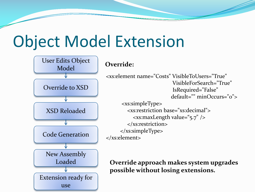### Object Model Extension



```
<xs:element name="Costs" VisibleToUsers="True" 
                          VisibleForSearch="True" 
                          IsRequired="False" 
                         default="" minOccurs="0">
```

```
<xs:simpleType>
  <xs:restriction base="xs:decimal">
     <xs:maxLength value="5.7" />
  </xs:restriction>
</xs:simpleType>
```
**Override approach makes system upgrades possible without losing extensions.**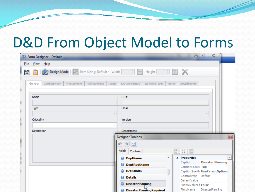#### D&D From Object Model to Forms

| q           | Form Designer - Default |                                                                                   |             |               |       |                                     |                                                                        |       |                                                       | $\begin{array}{c c c c} \hline \multicolumn{3}{c }{\textbf{0}} & \multicolumn{3}{c }{\textbf{0}} \\ \hline \multicolumn{3}{c }{\textbf{0}} & \multicolumn{3}{c }{\textbf{0}} \\ \hline \multicolumn{3}{c }{\textbf{0}} & \multicolumn{3}{c }{\textbf{0}} \\ \hline \multicolumn{3}{c }{\textbf{0}} & \multicolumn{3}{c }{\textbf{0}} \\ \hline \multicolumn{3}{c }{\textbf{0}} & \multicolumn{3}{c }{\textbf{0}} \\ \hline \multicolumn{3}{c }{\textbf{0}} & \mult$ | $\Sigma\!$               |  |  |
|-------------|-------------------------|-----------------------------------------------------------------------------------|-------------|---------------|-------|-------------------------------------|------------------------------------------------------------------------|-------|-------------------------------------------------------|---------------------------------------------------------------------------------------------------------------------------------------------------------------------------------------------------------------------------------------------------------------------------------------------------------------------------------------------------------------------------------------------------------------------------------------------------------------------|--------------------------|--|--|
| <b>File</b> | $V$ iew Help            |                                                                                   |             |               |       |                                     |                                                                        |       |                                                       |                                                                                                                                                                                                                                                                                                                                                                                                                                                                     |                          |  |  |
| H           |                         | Design Mode   S   Item Sizing: Default + Width   $\frac{1}{\sqrt{2}}$   $\ket{+}$ |             |               |       |                                     | Height $\Rightarrow$ $\parallel$ $\updownarrow$ $\parallel$ $\swarrow$ |       |                                                       |                                                                                                                                                                                                                                                                                                                                                                                                                                                                     |                          |  |  |
|             | General                 | Configuration                                                                     | Procurement | Relationships | Usage |                                     | <b>Service History</b><br>Network Ports                                | Notes | Attachments                                           |                                                                                                                                                                                                                                                                                                                                                                                                                                                                     |                          |  |  |
|             | Name                    |                                                                                   |             |               |       |                                     | CI#                                                                    |       |                                                       |                                                                                                                                                                                                                                                                                                                                                                                                                                                                     |                          |  |  |
|             | Type                    |                                                                                   |             |               |       |                                     | Class                                                                  |       |                                                       |                                                                                                                                                                                                                                                                                                                                                                                                                                                                     |                          |  |  |
|             | Criticality             |                                                                                   |             | Version       |       |                                     |                                                                        |       |                                                       |                                                                                                                                                                                                                                                                                                                                                                                                                                                                     |                          |  |  |
|             | Description             |                                                                                   |             |               |       | Department<br>Designer Toolbox<br>B |                                                                        |       |                                                       |                                                                                                                                                                                                                                                                                                                                                                                                                                                                     |                          |  |  |
|             |                         |                                                                                   |             |               |       |                                     | n 1 E                                                                  |       |                                                       |                                                                                                                                                                                                                                                                                                                                                                                                                                                                     |                          |  |  |
|             |                         |                                                                                   |             |               |       |                                     | Fields   Controls  <br>● DeptName                                      | ∸     | o 2/回<br><sup>4</sup> Properties                      |                                                                                                                                                                                                                                                                                                                                                                                                                                                                     |                          |  |  |
|             |                         |                                                                                   |             |               |       |                                     | ● DeptRootName                                                         |       | Caption<br>CaptionLocati Top                          |                                                                                                                                                                                                                                                                                                                                                                                                                                                                     | <b>Disaster Planning</b> |  |  |
|             |                         |                                                                                   |             |               |       |                                     | <b>DetailDiffs</b><br>0<br><b>●</b> Details                            |       | CaptionSizeMc UseParentOptions<br>ControlType Default |                                                                                                                                                                                                                                                                                                                                                                                                                                                                     |                          |  |  |
|             |                         |                                                                                   |             |               |       |                                     | <b>DisasterPlanning</b><br>0                                           |       | DefaultValue<br>EnableValueCl False                   |                                                                                                                                                                                                                                                                                                                                                                                                                                                                     |                          |  |  |
|             |                         |                                                                                   |             |               |       |                                     | <b>DisasterPlandingRequired</b>                                        |       | FieldName                                             | <b>DisasterPlanning</b>                                                                                                                                                                                                                                                                                                                                                                                                                                             |                          |  |  |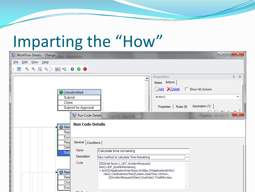# Imparting the "How"

| WorkFlow Details - Change                              |                                                                                                                                                                                                 | $\mathbf{x}$<br>$\Box$ e       |
|--------------------------------------------------------|-------------------------------------------------------------------------------------------------------------------------------------------------------------------------------------------------|--------------------------------|
| File Edit View Help                                    |                                                                                                                                                                                                 |                                |
| <b>BAIK-1000</b><br>$\mathbb{R}$                       |                                                                                                                                                                                                 |                                |
|                                                        | <b>Properties</b><br>$\blacktriangle$                                                                                                                                                           | 皿<br>$\boldsymbol{\mathsf{x}}$ |
|                                                        | States Actions                                                                                                                                                                                  |                                |
| Unsubmitted                                            | <b>Add X</b> Delete<br>□ Show All Actions                                                                                                                                                       |                                |
| Submit                                                 | Action <sub>2</sub>                                                                                                                                                                             | ▼                              |
| Close<br>Submit for Approval                           | Automation (1)<br>Rules (0)<br>Properties<br><i>A</i> A                                                                                                                                         |                                |
| Run Code Details                                       |                                                                                                                                                                                                 | $\mathbf{x}$                   |
| <b>Run Code Details</b><br><b>O</b> New<br>Reje<br>Esc |                                                                                                                                                                                                 |                                |
| General Conditions<br>Req                              |                                                                                                                                                                                                 |                                |
| <b>Def</b><br>Name                                     | Calculate time remaining                                                                                                                                                                        |                                |
| Sub<br>Description                                     | New method to calculate Time Remaining<br>                                                                                                                                                      |                                |
| Code                                                   | ((SDInterfaces.I_UDT_IncidentRequest)                                                                                                                                                           |                                |
| <b>D</b> Nee<br>Res<br>Clos<br>Esc                     | Item).UDF_BusMinRemaining<br>= (int)((XApplicationInterfaces.Entities.IXApplicationEntity)<br>Item).CalcBusinessTime(System.DateTime.UtcNow,<br>((IIncidentRequest)Item).DueDate).TotalMinutes; |                                |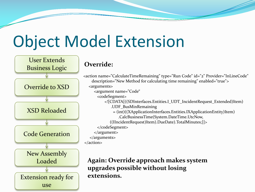# Object Model Extension

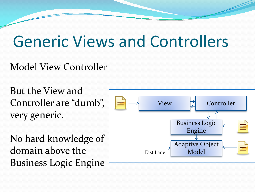### Generic Views and Controllers

#### Model View Controller

But the View and Controller are "dumb", very generic.

No hard knowledge of domain above the Business Logic Engine

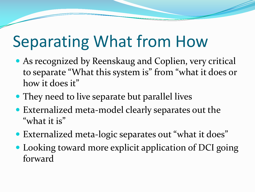# Separating What from How

- As recognized by Reenskaug and Coplien, very critical to separate "What this system is" from "what it does or how it does it"
- They need to live separate but parallel lives
- Externalized meta-model clearly separates out the "what it is"
- Externalized meta-logic separates out "what it does"
- Looking toward more explicit application of DCI going forward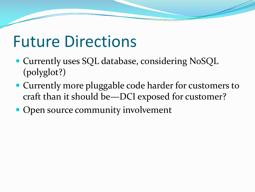#### Future Directions

- Currently uses SQL database, considering NoSQL (polyglot?)
- Currently more pluggable code harder for customers to craft than it should be—DCI exposed for customer?
- Open source community involvement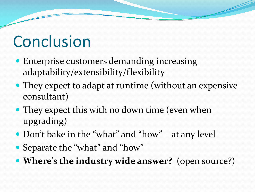# **Conclusion**

- Enterprise customers demanding increasing adaptability/extensibility/flexibility
- They expect to adapt at runtime (without an expensive consultant)
- They expect this with no down time (even when upgrading)
- Don't bake in the "what" and "how"—at any level
- Separate the "what" and "how"
- **Where's the industry wide answer?** (open source?)